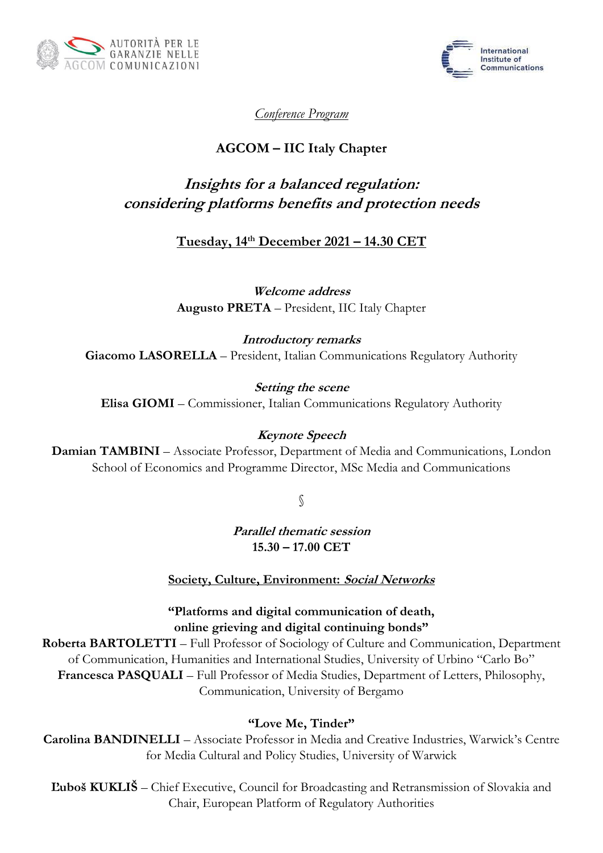



*Conference Program*

# **AGCOM – IIC Italy Chapter**

# **Insights for a balanced regulation: considering platforms benefits and protection needs**

# **Tuesday, 14th December 2021 – 14.30 CET**

**Welcome address Augusto PRETA** – President, IIC Italy Chapter

**Introductory remarks Giacomo LASORELLA** – President, Italian Communications Regulatory Authority

**Setting the scene Elisa GIOMI** – Commissioner, Italian Communications Regulatory Authority

# **Keynote Speech**

**Damian TAMBINI** – Associate Professor, Department of Media and Communications, London School of Economics and Programme Director, MSc Media and Communications

§

**Parallel thematic session 15.30 – 17.00 CET**

**Society, Culture, Environment: Social Networks**

### **"Platforms and digital communication of death, online grieving and digital continuing bonds"**

**Roberta BARTOLETTI** – Full Professor of Sociology of Culture and Communication, Department of Communication, Humanities and International Studies, University of Urbino "Carlo Bo" **Francesca PASQUALI** – Full Professor of Media Studies, Department of Letters, Philosophy, Communication, University of Bergamo

#### **"Love Me, Tinder"**

**Carolina BANDINELLI** – Associate Professor in Media and Creative Industries, Warwick's Centre for Media Cultural and Policy Studies, University of Warwick

**Ľuboš KUKLIŠ** – Chief Executive, Council for Broadcasting and Retransmission of Slovakia and Chair, European Platform of Regulatory Authorities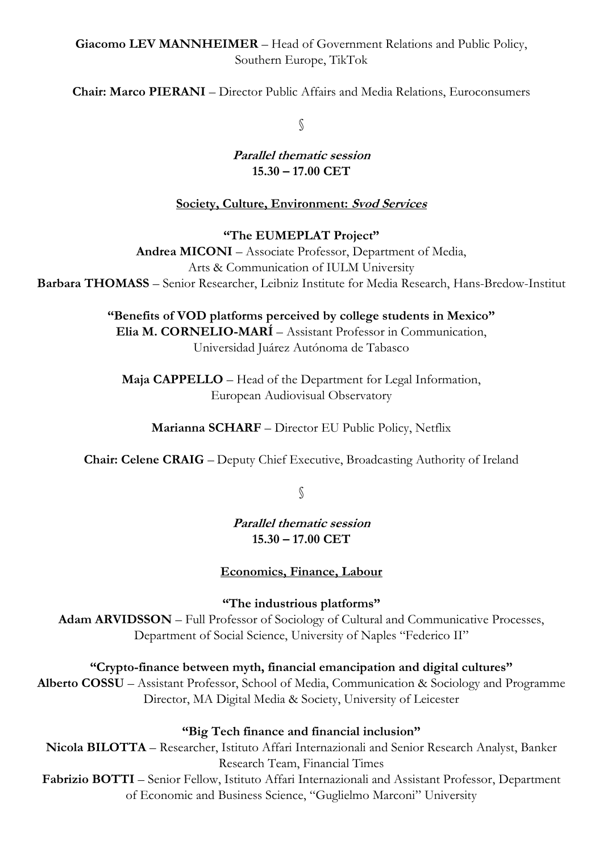### **Giacomo LEV MANNHEIMER** – Head of Government Relations and Public Policy, Southern Europe, TikTok

**Chair: Marco PIERANI** – Director Public Affairs and Media Relations, Euroconsumers

§

#### **Parallel thematic session 15.30 – 17.00 CET**

# **Society, Culture, Environment: Svod Services**

### **"The EUMEPLAT Project"**

**Andrea MICONI** – Associate Professor, Department of Media, Arts & Communication of IULM University **Barbara THOMASS** – Senior Researcher, Leibniz Institute for Media Research, Hans-Bredow-Institut

> **"Benefits of VOD platforms perceived by college students in Mexico" Elia M. CORNELIO-MARÍ** – Assistant Professor in Communication, Universidad Juárez Autónoma de Tabasco

**Maja CAPPELLO** – Head of the Department for Legal Information, European Audiovisual Observatory

**Marianna SCHARF** – Director EU Public Policy, Netflix

**Chair: Celene CRAIG** – Deputy Chief Executive, Broadcasting Authority of Ireland

§

**Parallel thematic session 15.30 – 17.00 CET**

# **Economics, Finance, Labour**

**"The industrious platforms"**

Adam ARVIDSSON – Full Professor of Sociology of Cultural and Communicative Processes, Department of Social Science, University of Naples "Federico II"

**"Crypto-finance between myth, financial emancipation and digital cultures"**

**Alberto COSSU** – Assistant Professor, School of Media, Communication & Sociology and Programme Director, MA Digital Media & Society, University of Leicester

# **"Big Tech finance and financial inclusion"**

**Nicola BILOTTA** – Researcher, Istituto Affari Internazionali and Senior Research Analyst, Banker Research Team, Financial Times **Fabrizio BOTTI** – Senior Fellow, Istituto Affari Internazionali and Assistant Professor, Department of Economic and Business Science, "Guglielmo Marconi" University